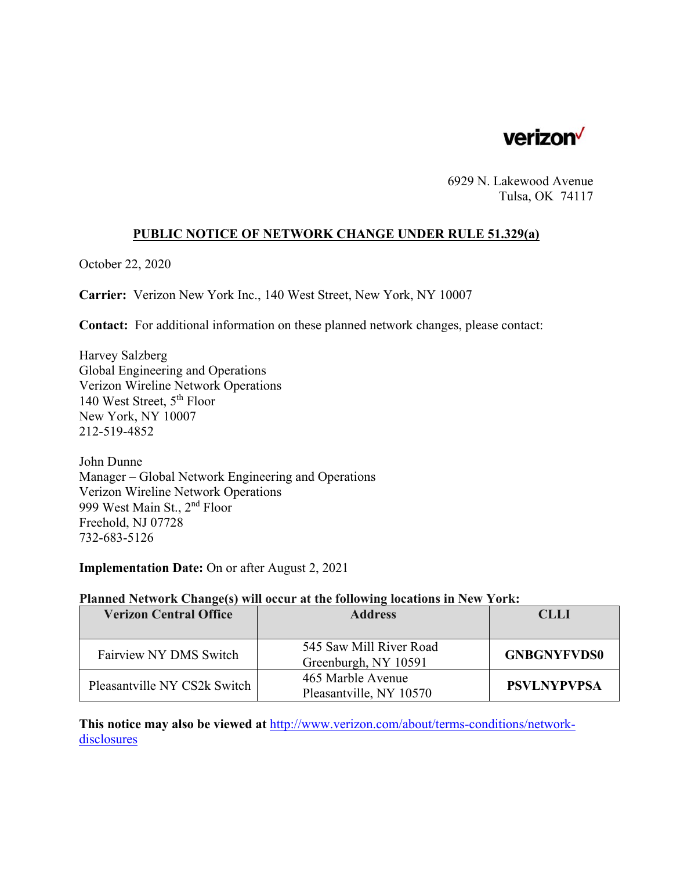

6929 N. Lakewood Avenue Tulsa, OK 74117

### **PUBLIC NOTICE OF NETWORK CHANGE UNDER RULE 51.329(a)**

October 22, 2020

**Carrier:** Verizon New York Inc., 140 West Street, New York, NY 10007

**Contact:** For additional information on these planned network changes, please contact:

Harvey Salzberg Global Engineering and Operations Verizon Wireline Network Operations 140 West Street, 5th Floor New York, NY 10007 212-519-4852

John Dunne Manager – Global Network Engineering and Operations Verizon Wireline Network Operations 999 West Main St., 2nd Floor Freehold, NJ 07728 732-683-5126

**Implementation Date:** On or after August 2, 2021

#### **Planned Network Change(s) will occur at the following locations in New York:**

| <b>Verizon Central Office</b> | <b>Address</b>                                  | CLLI               |
|-------------------------------|-------------------------------------------------|--------------------|
|                               |                                                 |                    |
| Fairview NY DMS Switch        | 545 Saw Mill River Road<br>Greenburgh, NY 10591 | <b>GNBGNYFVDS0</b> |
| Pleasantville NY CS2k Switch  | 465 Marble Avenue<br>Pleasantville, NY 10570    | <b>PSVLNYPVPSA</b> |

**This notice may also be viewed at** http://www.verizon.com/about/terms-conditions/networkdisclosures